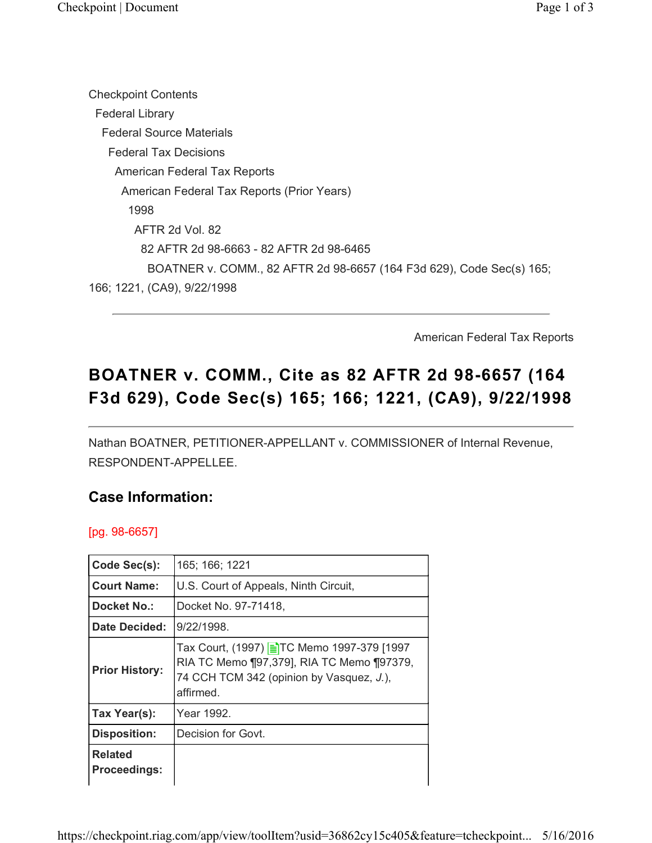Checkpoint Contents Federal Library Federal Source Materials Federal Tax Decisions American Federal Tax Reports American Federal Tax Reports (Prior Years) 1998 AFTR 2d Vol. 82 82 AFTR 2d 98-6663 - 82 AFTR 2d 98-6465 BOATNER v. COMM., 82 AFTR 2d 98-6657 (164 F3d 629), Code Sec(s) 165; 166; 1221, (CA9), 9/22/1998

American Federal Tax Reports

# BOATNER v. COMM., Cite as 82 AFTR 2d 98-6657 (164 F3d 629), Code Sec(s) 165; 166; 1221, (CA9), 9/22/1998

Nathan BOATNER, PETITIONER-APPELLANT v. COMMISSIONER of Internal Revenue, RESPONDENT-APPELLEE.

### Case Information:

[pg. 98-6657]

| Code Sec(s):                          | 165; 166; 1221                                                                                                                                  |
|---------------------------------------|-------------------------------------------------------------------------------------------------------------------------------------------------|
| <b>Court Name:</b>                    | U.S. Court of Appeals, Ninth Circuit,                                                                                                           |
| Docket No.:                           | Docket No. 97-71418,                                                                                                                            |
| Date Decided:                         | 9/22/1998.                                                                                                                                      |
| <b>Prior History:</b>                 | Tax Court, (1997) ETC Memo 1997-379 [1997<br>RIA TC Memo [97,379], RIA TC Memo [97379,<br>74 CCH TCM 342 (opinion by Vasquez, J.),<br>affirmed. |
| Tax Year(s):                          | Year 1992.                                                                                                                                      |
| <b>Disposition:</b>                   | Decision for Govt.                                                                                                                              |
| <b>Related</b><br><b>Proceedings:</b> |                                                                                                                                                 |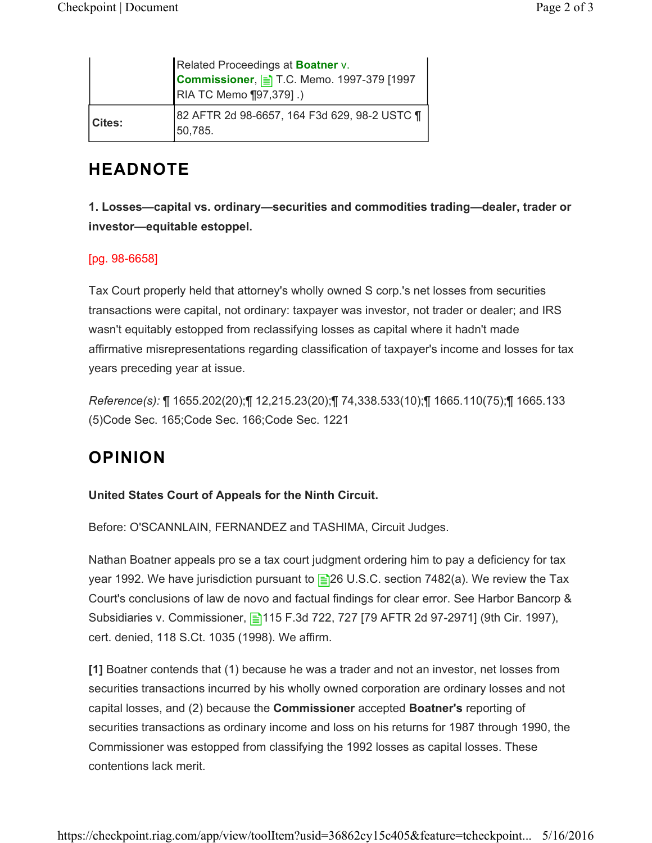|               | Related Proceedings at Boatner v.<br>Commissioner, E T.C. Memo. 1997-379 [1997<br>RIA TC Memo ¶97,379].) |
|---------------|----------------------------------------------------------------------------------------------------------|
| <b>Cites:</b> | 82 AFTR 2d 98-6657, 164 F3d 629, 98-2 USTC 1<br>50,785.                                                  |

### HEADNOTE

1. Losses—capital vs. ordinary—securities and commodities trading—dealer, trader or investor—equitable estoppel.

#### [pg. 98-6658]

Tax Court properly held that attorney's wholly owned S corp.'s net losses from securities transactions were capital, not ordinary: taxpayer was investor, not trader or dealer; and IRS wasn't equitably estopped from reclassifying losses as capital where it hadn't made affirmative misrepresentations regarding classification of taxpayer's income and losses for tax years preceding year at issue.

Reference(s): ¶ 1655.202(20);¶ 12,215.23(20);¶ 74,338.533(10);¶ 1665.110(75);¶ 1665.133 (5)Code Sec. 165;Code Sec. 166;Code Sec. 1221

## OPINION

#### United States Court of Appeals for the Ninth Circuit.

Before: O'SCANNLAIN, FERNANDEZ and TASHIMA, Circuit Judges.

Nathan Boatner appeals pro se a tax court judgment ordering him to pay a deficiency for tax year 1992. We have jurisdiction pursuant to  $\equiv$  26 U.S.C. section 7482(a). We review the Tax Court's conclusions of law de novo and factual findings for clear error. See Harbor Bancorp & Subsidiaries v. Commissioner, **115 F.3d 722, 727 [79 AFTR 2d 97-2971]** (9th Cir. 1997), cert. denied, 118 S.Ct. 1035 (1998). We affirm.

[1] Boatner contends that (1) because he was a trader and not an investor, net losses from securities transactions incurred by his wholly owned corporation are ordinary losses and not capital losses, and (2) because the Commissioner accepted Boatner's reporting of securities transactions as ordinary income and loss on his returns for 1987 through 1990, the Commissioner was estopped from classifying the 1992 losses as capital losses. These contentions lack merit.